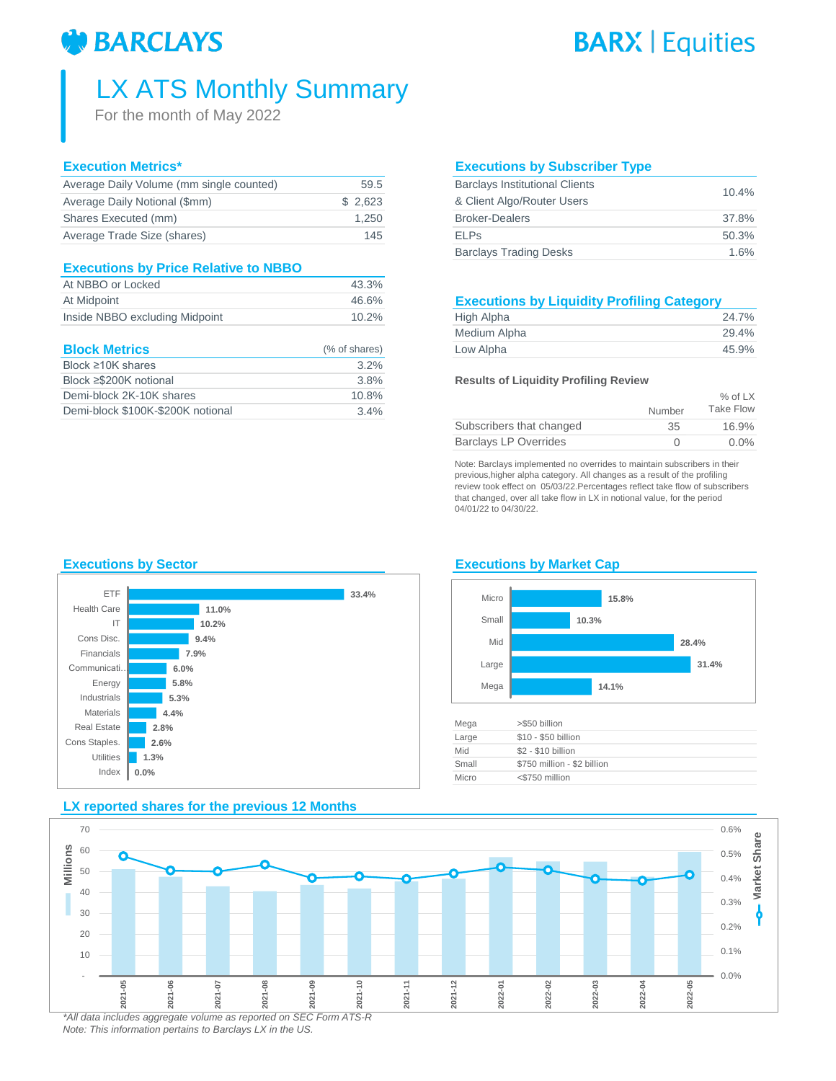# **BARCLAYS**

# **BARX | Equities**

# LX ATS Monthly Summary

For the month of May 2022

## **Execution Metrics\***

| Average Daily Volume (mm single counted) | 59.5    | <b>Barclays Institutional Clients</b> | 10.4% |
|------------------------------------------|---------|---------------------------------------|-------|
| Average Daily Notional (\$mm)            | \$2.623 | & Client Algo/Router Users            |       |
| Shares Executed (mm)                     | 1.250   | <b>Broker-Dealers</b>                 | 37.8% |
| Average Trade Size (shares)              | 145     | <b>ELPs</b>                           | 50.3% |
|                                          |         |                                       |       |

### **Executions by Price Relative to NBBO**

| At NBBO or Locked              | 43.3% |                                                   |       |
|--------------------------------|-------|---------------------------------------------------|-------|
| At Midpoint                    | 46.6% | <b>Executions by Liquidity Profiling Category</b> |       |
| Inside NBBO excluding Midpoint | 10.2% | High Alpha                                        | 24.7% |

| <b>Block Metrics</b>              | (% of shares) | Low Alpha                                    | 45.9%     |
|-----------------------------------|---------------|----------------------------------------------|-----------|
| Block $\geq 10$ K shares          | $3.2\%$       |                                              |           |
| Block ≥\$200K notional            | 3.8%          | <b>Results of Liquidity Profiling Review</b> |           |
| Demi-block 2K-10K shares          | 10.8%         |                                              | $%$ of LX |
| Demi-block \$100K-\$200K notional | 3.4%          | Number                                       | Take Flow |

### **Executions by Subscriber Type**

| <b>Barclays Institutional Clients</b> | 10.4% |  |
|---------------------------------------|-------|--|
| & Client Algo/Router Users            |       |  |
| <b>Broker-Dealers</b>                 | 37.8% |  |
| <b>ELPs</b>                           | 50.3% |  |
| <b>Barclays Trading Desks</b>         | 1.6%  |  |

## **Executions by Liquidity Profiling Category**

| High Alpha   | 24.7% |
|--------------|-------|
| Medium Alpha | 29.4% |
| Low Alpha    | 45.9% |

#### **Results of Liquidity Profiling Review**

|                              |                  | $%$ of LX |
|------------------------------|------------------|-----------|
|                              | Number           | Take Flow |
| Subscribers that changed     | 35               | 16.9%     |
| <b>Barclays LP Overrides</b> | $\left( \right)$ | $0.0\%$   |

Note: Barclays implemented no overrides to maintain subscribers in their previous,higher alpha category. All changes as a result of the profiling review took effect on 05/03/22.Percentages reflect take flow of subscribers that changed, over all take flow in LX in notional value, for the period 04/01/22 to 04/30/22.

## **Executions by Sector Executions by Market Cap**



**LX reported shares for the previous 12 Months**

# Micro



| Mega  | >\$50 billion               |
|-------|-----------------------------|
| Large | \$10 - \$50 billion         |
| Mid   | \$2 - \$10 billion          |
| Small | \$750 million - \$2 billion |
| Micro | <\$750 million              |
|       |                             |

#### 0.0% 0.1% 0.2% 0.3% 0.4% 0.5% 0.6% - 10 20 30 40 50 60 70 **2021-05 2021-06 2021-07 2021-08 2021-09 2021-10 2021-11 2021-12 2022-01 2022-02 2022-03 2022-04 2022-05 Market Share Millions**

*\*All data includes aggregate volume as reported on SEC Form ATS-R Note: This information pertains to Barclays LX in the US.*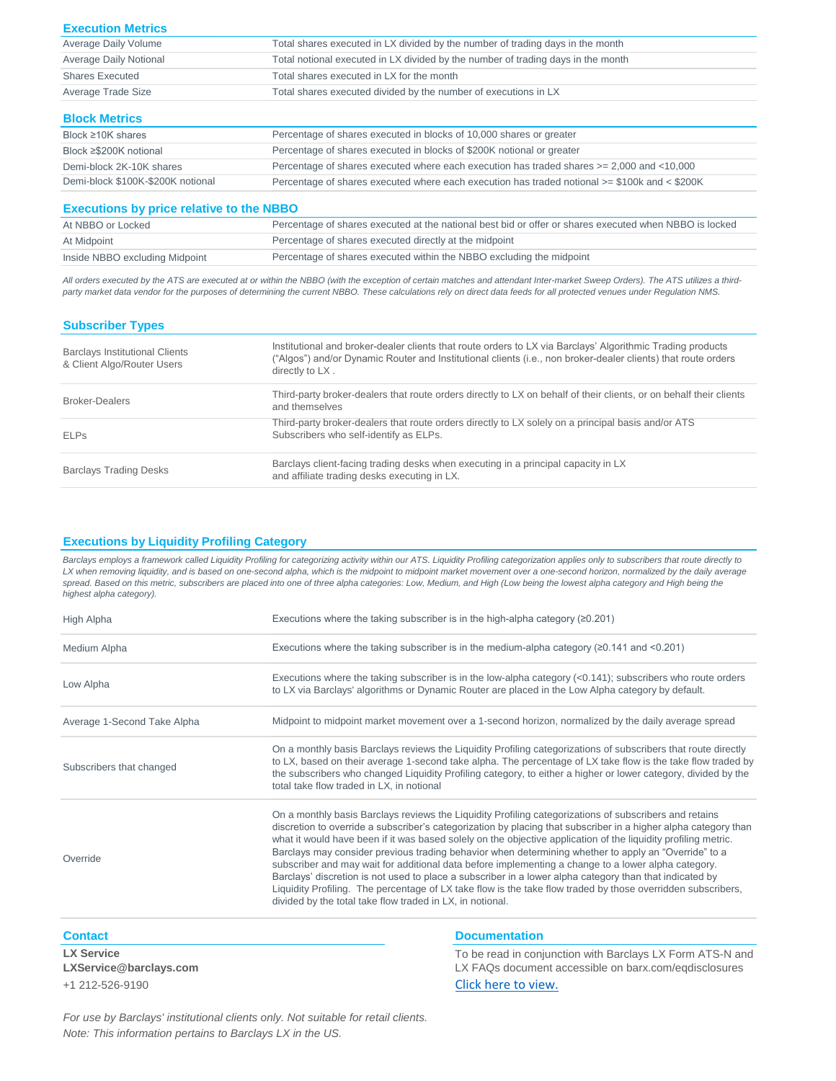| <b>Execution Metrics</b>                        |                                                                                                        |
|-------------------------------------------------|--------------------------------------------------------------------------------------------------------|
| Average Daily Volume                            | Total shares executed in LX divided by the number of trading days in the month                         |
| <b>Average Daily Notional</b>                   | Total notional executed in LX divided by the number of trading days in the month                       |
| <b>Shares Executed</b>                          | Total shares executed in LX for the month                                                              |
| Average Trade Size                              | Total shares executed divided by the number of executions in LX                                        |
| <b>Block Metrics</b>                            |                                                                                                        |
| Block $\geq 10K$ shares                         | Percentage of shares executed in blocks of 10,000 shares or greater                                    |
| Block ≥\$200K notional                          | Percentage of shares executed in blocks of \$200K notional or greater                                  |
| Demi-block 2K-10K shares                        | Percentage of shares executed where each execution has traded shares $>= 2,000$ and $< 10,000$         |
| Demi-block \$100K-\$200K notional               | Percentage of shares executed where each execution has traded notional >= \$100k and < \$200K          |
| <b>Executions by price relative to the NBBO</b> |                                                                                                        |
| At NBBO or Locked                               | Percentage of shares executed at the national best bid or offer or shares executed when NBBO is locked |
| At Midpoint                                     | Percentage of shares executed directly at the midpoint                                                 |
| Inside NBBO excluding Midpoint                  | Percentage of shares executed within the NBBO excluding the midpoint                                   |

*All orders executed by the ATS are executed at or within the NBBO (with the exception of certain matches and attendant Inter-market Sweep Orders). The ATS utilizes a thirdparty market data vendor for the purposes of determining the current NBBO. These calculations rely on direct data feeds for all protected venues under Regulation NMS.* 

| <b>Subscriber Types</b>                                             |                                                                                                                                                                                                                                                |
|---------------------------------------------------------------------|------------------------------------------------------------------------------------------------------------------------------------------------------------------------------------------------------------------------------------------------|
| <b>Barclays Institutional Clients</b><br>& Client Algo/Router Users | Institutional and broker-dealer clients that route orders to LX via Barclays' Algorithmic Trading products<br>("Algos") and/or Dynamic Router and Institutional clients (i.e., non broker-dealer clients) that route orders<br>directly to LX. |
| Broker-Dealers                                                      | Third-party broker-dealers that route orders directly to LX on behalf of their clients, or on behalf their clients<br>and themselves                                                                                                           |
| <b>ELPs</b>                                                         | Third-party broker-dealers that route orders directly to LX solely on a principal basis and/or ATS<br>Subscribers who self-identify as ELPs.                                                                                                   |
| <b>Barclays Trading Desks</b>                                       | Barclays client-facing trading desks when executing in a principal capacity in LX<br>and affiliate trading desks executing in LX.                                                                                                              |

#### **Executions by Liquidity Profiling Category**

Barclays employs a framework called Liquidity Profiling for categorizing activity within our ATS. Liquidity Profiling categorization applies only to subscribers that route directly to LX when removing liquidity, and is based on one-second alpha, which is the midpoint to midpoint market movement over a one-second horizon, normalized by the daily average spread. Based on this metric, subscribers are placed into one of three alpha categories: Low, Medium, and High (Low being the lowest alpha category and High being the *highest alpha category).*

| High Alpha                  | Executions where the taking subscriber is in the high-alpha category $(20.201)$                                                                                                                                                                                                                                                                                                                                                                                                                                                                                                                                                                                                                                                                                                                                                                    |
|-----------------------------|----------------------------------------------------------------------------------------------------------------------------------------------------------------------------------------------------------------------------------------------------------------------------------------------------------------------------------------------------------------------------------------------------------------------------------------------------------------------------------------------------------------------------------------------------------------------------------------------------------------------------------------------------------------------------------------------------------------------------------------------------------------------------------------------------------------------------------------------------|
| Medium Alpha                | Executions where the taking subscriber is in the medium-alpha category ( $\geq$ 0.141 and <0.201)                                                                                                                                                                                                                                                                                                                                                                                                                                                                                                                                                                                                                                                                                                                                                  |
| Low Alpha                   | Executions where the taking subscriber is in the low-alpha category $(0.141)$ ; subscribers who route orders<br>to LX via Barclays' algorithms or Dynamic Router are placed in the Low Alpha category by default.                                                                                                                                                                                                                                                                                                                                                                                                                                                                                                                                                                                                                                  |
| Average 1-Second Take Alpha | Midpoint to midpoint market movement over a 1-second horizon, normalized by the daily average spread                                                                                                                                                                                                                                                                                                                                                                                                                                                                                                                                                                                                                                                                                                                                               |
| Subscribers that changed    | On a monthly basis Barclays reviews the Liquidity Profiling categorizations of subscribers that route directly<br>to LX, based on their average 1-second take alpha. The percentage of LX take flow is the take flow traded by<br>the subscribers who changed Liquidity Profiling category, to either a higher or lower category, divided by the<br>total take flow traded in LX, in notional                                                                                                                                                                                                                                                                                                                                                                                                                                                      |
| Override                    | On a monthly basis Barclays reviews the Liquidity Profiling categorizations of subscribers and retains<br>discretion to override a subscriber's categorization by placing that subscriber in a higher alpha category than<br>what it would have been if it was based solely on the objective application of the liquidity profiling metric.<br>Barclays may consider previous trading behavior when determining whether to apply an "Override" to a<br>subscriber and may wait for additional data before implementing a change to a lower alpha category.<br>Barclays' discretion is not used to place a subscriber in a lower alpha category than that indicated by<br>Liquidity Profiling. The percentage of LX take flow is the take flow traded by those overridden subscribers,<br>divided by the total take flow traded in LX, in notional. |

**LX Service** 

**LXService@barclays.com**

#### **Contact Documentation Documentation**

+1 212-526-9190 [Click here t](http://barx.com/eqdisclosures.html)o view. To be read in conjunction with Barclays LX Form ATS-N and LX FAQs document accessible on barx.com/eqdisclosures

*For use by Barclays' institutional clients only. Not suitable for retail clients. Note: This information pertains to Barclays LX in the US.*